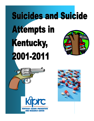# **Suicides and Suicide Attempts in** Kentucky, 2001-2011



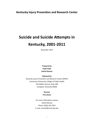#### **Kentucky Injury Prevention and Research Center**

#### **Suicide and Suicide Attempts in Kentucky, 2001-2011**

November 2012

**Prepared by Kayla Pope Svetla Slavova**

**Released by** 

Kentucky Injury Prevention and Research Center (KIPRC) University of Kentucky College of Public Health 333 Waller Avenue, Suite 206 Lexington, Kentucky 40504

> **Director Terry Bunn**

For more information contact Svetla Slavova Phone: (859) 323-7873 E-mail: ssslav2@email.uky.edu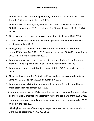- 1. There were 605 suicides among Kentucky residents in the year 2010, up 7% from the 567 recorded in the year 2009.
- 2. The Kentucky resident age-adjusted suicide rate increased from 12.8 per 100,000 population in 2009 to 13.5 per 100,000 population in 2010, a 5.5% increase.
- 3. Firearms were the primary means of completed suicide from 2001-2010.
- 4. Kentucky residents aged 45-54 were the age group that completed suicide most frequently in 2010.
- 5. The age-adjusted rate for Kentucky self-harm-related hospitalizations increased 7.6% from 2010-2011 (52.5 hospitalizations per 100,000 population in 2010 to 56.5 hospitalizations in 2011).
- 6. Kentucky females were the gender most often hospitalized for self-harm and most were due to poisonings, over the study period from 2001-2011.
- 7. Kentucky self-harm hospitalization charges totaled \$42.3 million in the year 2011.
- 8. The age adjusted rate for Kentucky self-harm related emergency department visits was 77.2 visits per 100,000 population in 2011.
- 9. Kentucky females visited the emergency department for self-related harm more often than males from 2008-2011.
- 10. Kentucky residents aged 15-24 were the age group that most frequently visited the Kentucky emergency department related to self-harm from 2008-2011.
- 11. Kentucky self-harm related emergency department visit charges totaled \$7.92 million in the year 2011.
- 12. The highest number of Kentucky emergency department visits for self-harm were due to poisonings from 2008-2011.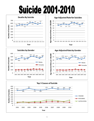# **Suicide 2001-2010**



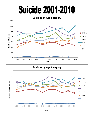# **Suicide 2001-2010**



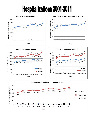### **Hospitalizations 2001-2011**



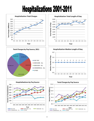## Hospitalizations 2001-2011











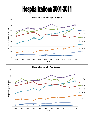## Hospitalizations 2001-2011



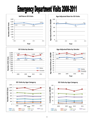### **Emergency Department Visits 2008-2011**











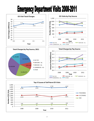### **Emergency Department Visits 2008-2011**